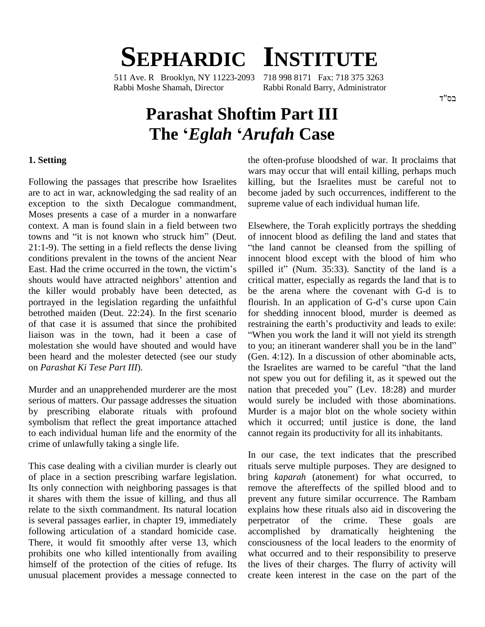# **SEPHARDIC INSTITUTE**

511 Ave. R Brooklyn, NY 11223-2093 718 998 8171 Fax: 718 375 3263 Rabbi Moshe Shamah, Director Rabbi Ronald Barry, Administrator

#### בס"ד

# **Parashat Shoftim Part III The <sup>ë</sup>***Eglah* **<sup>ë</sup>***Arufah* **Case**

#### **1. Setting**

Following the passages that prescribe how Israelites are to act in war, acknowledging the sad reality of an exception to the sixth Decalogue commandment, supreme value of each individual human life. Moses presents a case of a murder in a nonwarfare context. A man is found slain in a field between two Moses presents a case of a murder in a nonwarfare<br>context. A man is found slain in a field between two<br>towns and "it is not known who struck him" (Deut. 21:1-9). The setting in a field reflects the dense living "the 1 conditions prevalent in the towns of the ancient Near innoce East. Had the crime occurred in the town, the victim's spilled conditions prevalent in the towns of the ancient Near East. Had the crime occurred in the town, the victim's shouts would have attracted neighbors' attention and the killer would probably have been detected, as portrayed in the legislation regarding the unfaithful betrothed maiden (Deut. 22:24). In the first scenario of that case it is assumed that since the prohibited liaison was in the town, had it been a case of molestation she would have shouted and would have to you; an itinerant wanderer shall you be in the land" been heard and the molester detected (see our study on *Parashat Ki Tese Part III*).

serious of matters. Our passage addresses the situation by prescribing elaborate rituals with profound symbolism that reflect the great importance attached to each individual human life and the enormity of the crime of unlawfully taking a single life.

This case dealing with a civilian murder is clearly out of place in a section prescribing warfare legislation. Its only connection with neighboring passages is that it shares with them the issue of killing, and thus all relate to the sixth commandment. Its natural location is several passages earlier, in chapter 19, immediately following articulation of a standard homicide case. There, it would fit smoothly after verse 13, which prohibits one who killed intentionally from availing himself of the protection of the cities of refuge. Its unusual placement provides a message connected to the often-profuse bloodshed of war. It proclaims that wars may occur that will entail killing, perhaps much killing, but the Israelites must be careful not to become jaded by such occurrences, indifferent to the supreme value of each individual human life.<br>Elsewhere, the Torah explicitly portrays the shedding

Murder and an unapprehended murderer are the most nation that preceded you" (Lev. 18:28) and murder Elsewhere, the Torah explicitly portrays the shedding<br>of innocent blood as defiling the land and states that the land cannot be cleansed from the spilling of innocent blood except with the blood of him who spilled it" (Num. 35:33). Sanctity of the land is a critical matter, especially as regards the land that is to flourish. In an application ofG-dí<sup>s</sup> curse upon Cain be the arena where the covenant with G-d is to for shedding innocent blood, murder is deemed as flourish. In an application of G-d's curse upon Cain When you work the land it will not yield its strength restraining the earth's productivity and leads to exile: (Gen. 4:12). In a discussion of other abominable acts, to you; an itinerant wanderer shall you be in the land"<br>(Gen. 4:12). In a discussion of other abominable acts,<br>the Israelites are warned to be careful "that the land not spew you out for defiling it, as it spewed out the the Israelites are warned to be careful "that the land<br>not spew you out for defiling it, as it spewed out the<br>nation that preceded you" (Lev. 18:28) and murder would surely be included with those abominations. Murder is a major blot on the whole society within which it occurred; until justice is done, the land cannot regain its productivity for all its inhabitants.

> In our case, the text indicates that the prescribed rituals serve multiple purposes. They are designed to bring *kaparah* (atonement) for what occurred, to remove the aftereffects of the spilled blood and to prevent any future similar occurrence. The Rambam explains how these rituals also aid in discovering the perpetrator of the crime. These goals are accomplished by dramatically heightening the consciousness of the local leaders to the enormity of what occurred and to their responsibility to preserve the lives of their charges. The flurry of activity will create keen interest in the case on the part of the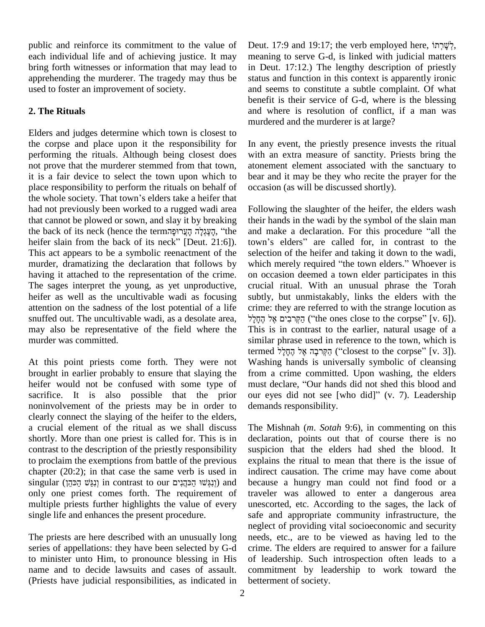public and reinforce its commitment to the value of each individual life and of achieving justice. It may bring forth witnesses or information that may lead to apprehending the murderer. The tragedy may thus be used to foster an improvement of society.

## **2. The Rituals**

Elders and judges determine which town is closest to the corpse and place upon it the responsibility for performing the rituals. Although being closest does not prove that the murderer stemmed from that town, it is a fair device to select the town upon which to place responsibility to perform the rituals on behalf of it is a fair device to select the town upon which to be place responsibility to perform the rituals on behalf of occiders the whole society. That town's elders take a heifer that had not previously been worked to a rugged wadi area that cannot be plowed or sown, and slay it by breaking the back of its neck (hence the termהַעֲגָלַה הַעֲגִלֵה "the heifer slain from the back of its neck" [Deut. 21:6]). town's elders" are called for, in contrast to the This act appears to be a symbolic reenactment of the murder, dramatizing the declaration that follows by having it attached to the representation of the crime. The sages interpret the young, as yet unproductive, heifer as well as the uncultivable wadi as focusing attention on the sadness of the lost potential of a life snuffed out.The uncultivable wadi, as a desolate area, may also be representative of the field where the murder was committed.

At this point priests come forth. They were not brought in earlier probably to ensure that slaying the heifer would not be confused with some type of must declare, "Our hands did not shed this blood and sacrifice. It is also possible that the prior our eyes did not see [who did]" (v. 7). Leadership noninvolvement of the priests may be in order to clearly connect the slaying of the heifer to the elders, a crucial element of the ritual as we shall discuss shortly. More than one priest is called for. This is in contrast to the description of the priestly responsibility to proclaim the exemptions from battle of the previous chapter (20:2); in that case the same verb is used in to proclaim the exemptions from battle of the previous explain chapter (20:2); in that case the same verb is used in indireasingular (יְנָגֲשׁוּ הַכּהֲנִים in contrast to our (יְנָגְשׁוּ הַכִּהֲנִים) and becaus only one priest comes forth. The requirement of multiple priests further highlights the value of every single life and enhances the present procedure.

The priests are here described with an unusually long series of appellations: they have been selected by G-d to minister unto Him, to pronounce blessing in His name and to decide lawsuits and cases of assault. (Priests have judicial responsibilities, as indicated in Deut. 17:9 and 19:17; the verb employed here,  $\gamma$ meaning to serve G-d, is linked with judicial matters in Deut. 17:12.) The lengthy description of priestly status and function in this context is apparently ironic and seems to constitute a subtle complaint. Of what benefit is their service of G-d, where is the blessing and where is resolution of conflict, if a man was murdered and the murderer is at large?

In any event, the priestly presence invests the ritual with an extra measure of sanctity. Priests bring the atonement element associated with the sanctuary to bear and it may be they who recite the prayer for the occasion (as will be discussed shortly).

Following the slaughter of the heifer, the elders wash their hands in the wadi by the symbol of the slain man Following the slaughter of the heifer, the elders wash<br>their hands in the wadi by the symbol of the slain man<br>and make a declaration. For this procedure "all the their hands in the wadi by the symbol of the slain man<br>and make a declaration. For this procedure "all the<br>town's elders" are called for, in contrast to the selection of the heifer and taking it down to the wadi, which merely required "the town elders." Whoever is on occasion deemed a town elder participates in this crucial ritual. With an unusual phrase the Torah subtly, but unmistakably, links the elders with the crime: they are referred to with the strange locution as ʬʠʓ ʭʩʡʑʸ˟ʍʤʔ (ìthe ones close to the corpse<sup>î</sup> [v. 6]). This is in contrast to the earlier, natural usage of a similar phrase used in reference to the town, which is termed הַקְּרבָה אֱלֹ הֶחָלֵל (closest to the corpse" [v. 3]). Washing hands is universally symbolic of cleansing<br>from a crime committed. Upon washing, the elders<br>must declare, "Our hands did not shed this blood and from a crime committed. Upon washing, the elders<br>must declare, "Our hands did not shed this blood and<br>our eyes did not see [who did]" (v. 7). Leadership demands responsibility.

The Mishnah (*m*. *Sotah* 9:6), in commenting on this declaration, points out that of course there is no suspicion that the elders had shed the blood. It explains the ritual to mean that there is the issue of indirect causation. The crime may have come about because a hungry man could not find food or a traveler was allowed to enter a dangerous area unescorted, etc. According to the sages, the lack of safe and appropriate community infrastructure, the neglect of providing vital socioeconomic and security needs, etc., are to be viewed as having led to the crime. The elders are required to answer for a failure of leadership. Such introspection often leads to a commitment by leadership to work toward the betterment of society.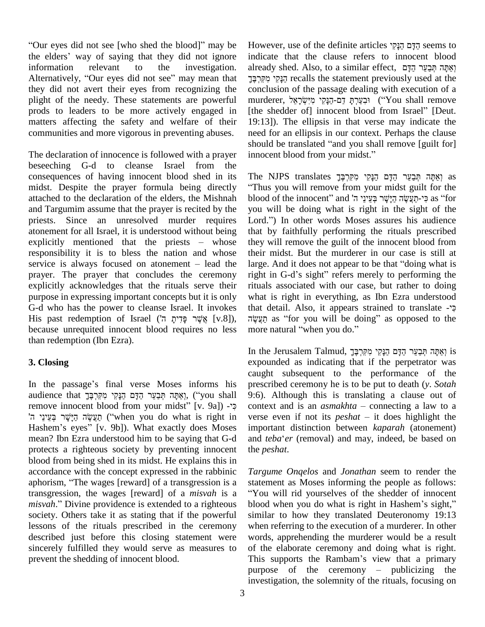"Our eyes did not see [who shed the blood]" may be the elders' way of saying that they did not ignore information relevant to the investigation. Alternatively, "Our eyes did not see" may mean that they did not avert their eyes from recognizing the plight of the needy. These statements are powerful prods to leaders to be more actively engaged in matters affecting the safety and welfare of their communities and more vigorous in preventing abuses.

The declaration of innocence is followed with a prayer innocent blood from your midst." beseeching G-d to cleanse Israel from the consequences of having innocent blood shed in its midst. Despite the prayer formula being directly attached to the declaration of the elders, the Mishnah blood of the innocent" and בְּי-תַעֲשֶׂה הַיָּשָׁר בְּעֵינֵי ה and Targumim assume that the prayer is recited by the priests. Since an unresolved murder requires Lord." In other words Moses assures his audience atonement for all Israel, it is understood without being priests. Since an unresolved murder requires Lord.<br>atonement for all Israel, it is understood without being that<br>explicitly mentioned that the priests – whose they responsibility it is to bless the nation and whose explicitly mentioned that the priests – whose they<br>responsibility it is to bless the nation and whose their<br>service is always focused on atonement – lead the large prayer. The prayer that concludes the ceremony right in G-d's sight" refers merely to performing the explicitly acknowledges that the rituals serve their purpose in expressing important concepts but it is only<br>G-d who has the power to cleanse Israel. It invokes that d<br>הַעֲשֶׂה ([v.8]), אֲשֶׁר פָּדִיתָ ה') G-d who has the power to cleanse Israel. It invokes because unrequited innocent blood requires no less more natural "when you do." than redemption (Ibn Ezra).

### **3. Closing**

In the passage's final verse Moses informs his ca<br>In the passage's final verse Moses informs his pr<br>audience that אֲמֶּה תְּבַעֲר הַדָּם הַנָּקִי מִקְרְבֶּךָ ('you shall 9: In the passage's final verse Moses informs his pre<br>audience that פְּרָקִי מְקִרְבֶּךְ הַדָּם הַנָּקִי מְקִרְבֶּךָ<br>Fremove innocent blood from your midst'' [v. 9a]) - פיć lience that פְּלִק הַבָּעֵר הַדָּם הַנָּקִי מִקִּרְבֶּךָ (''you shall 9:6).<br>nove innocent blood from your midst'' [v. 9a]) -י- contex<br>פִישֶׁר הַיָּשֶׁר הַיָּשֶׁר הַיָּשֶׁר הַיָּשֶׁר בִּעֲיִנֵי (''when you do what is righ remove innocent blood from your midst" [v. 9a]) -ך cont<br>הַעֲשֶׂה הַיָּשֶׁר בְּעֵינֵי ה' (when you do what is right in vers<br>Hashem's eyes" [v. 9b]). What exactly does Moses imp mean? Ibn Ezra understood him to be saying that G-d and *teba'er* (removal) and may, indeed, be based on protects a righteous society by preventing innocent blood from being shed in its midst. He explains this in accordance with the concept expressed in the rabbinic Targu aphorism, "The wages [reward] of a transgression is a statem accordance with the concept expressed in the rabbinic transgression, the wages [reward] of a *misvah* is a aphorism, "The wages [reward] of a transgression is a<br>transgression, the wages [reward] of a *misvah* is a<br>"You will rid yourselves of the shedder of innocent<br>misvah." Divine providence is extended to a righteous blood whe society. Others take it as stating that if the powerful lessons of the rituals prescribed in the ceremony described just before this closing statement were sincerely fulfilled they would serve as measures to prevent the shedding of innocent blood.

However, use of the definite articles הֲדָּם הַנַּקִי indicate that the clause refers to innocent blood already shed. Also, to a similar effect, ואתה תבער הדם הַנֵּקִי מִקְרִבֵּך conclusion of the passage dealing with execution of a murderer, יִּבְנָקִי מִיִּשְׂרָאֵל ('You shall remove [the shedder of] innocent blood from Israel" [Deut. 19:13]). The ellipsis in that verse may indicate the need for an ellipsis in our context. Perhaps the clause 19:13]). The ellipsis in that verse may indicate the need for an ellipsis in our context. Perhaps the clause should be translated "and you shall remove [guilt for] need for an ellipsis in our context. Perha<br>should be translated "and you shall remo<br>innocent blood from your midst."

innocent blood from your midst."<br>The NJPS translates רְאֲמָּה תְּבַעֲר הַדָּם הַנָּקִי מִקִּרְבֶּךָ Thus you will remove from your midst guilt for the הַנָּקִי מִקְּרְבֶּךָ מִקְרְבֶּךָ<br>"Thus you will remove from your"<br>ר בְּעֵינֵי ה' and innocent" and ר as וְאֵתָּה תְּבַעֵּר הַדָּם הַנָּקִי<br>your midst guilt for the<br>פִי-חַעֲשֶׂה הַיָּשֶׁר בְּעֵינֵי as ''for you will be doing what is right in the sight of the blood of the innocent" and בְּי-חַעֲשֶׂה הַיָּשָׁר בְּעֲיוֵי ה' for spou will be doing what is right in the sight of the Lord.") In other words Moses assures his audience that by faithfully performing the rituals prescribed they will remove the guilt of the innocent blood from<br>their midst. But the murderer in our case is still at<br>large. And it does not appear to be that "doing what is their midst. But the murderer in our case is still at large. And it does not appear to be that "doing what is rituals associated with our case, but rather to doing what is right in everything, as Ibn Ezra understood rituals associated with our case, but rather to doing<br>what is right in everything, as Ibn Ezra understood<br>that detail. Also, it appears strained to translate at is right in everything, as Ibn Ezra understood<br>it detail. Also, it appears strained to translate -יָבָּ<br>as "for you will be doing" as opposed to the that detail. Also, it appears strained to translate  $-\frac{1}{2}$  as "for you will be doing" as opposed to the

In the Jerusalem Talmud, וְאֵתָּה תְּבַעֵּר הַדָּם הַנַּקִי מִקְרִבֶּךָ expounded as indicating that if the perpetrator was caught subsequent to the performance of the prescribed ceremony he is to be put to death (*y*. *Sotah* 9:6). Although this is translating a clause out of context and is an *asmakhta* – connecting a law to a 9:6). Although this is translating a clause out of context and is an  $asmakhta$  – connecting a law to a verse even if not its *peshat* – it does highlight the important distinction between *kaparah* (atonement) verse even if not its *peshat* – it does highlight the the *peshat*.

*Targume Onqelos* and *Jonathan* seem to render the Targume Onqelos and Jonathan seem to render the statement as Moses informing the people as follows: You will rid yourselves of the shedder of innocent statement as Moses informing the people as follows:<br>"You will rid yourselves of the shedder of innocent<br>blood when you do what is right in Hashem's sight," similar to how they translated Deuteronomy 19:13 when referring to the execution of a murderer. In other words, apprehending the murderer would be a result of the elaborate ceremony and doing what is right. words, apprehending the murderer would be a result<br>of the elaborate ceremony and doing what is right.<br>This supports the Rambam's view that a primary This supports the Rambam's view that a primary<br>purpose of the ceremony  $-$  publicizing the investigation, the solemnity of the rituals, focusing on